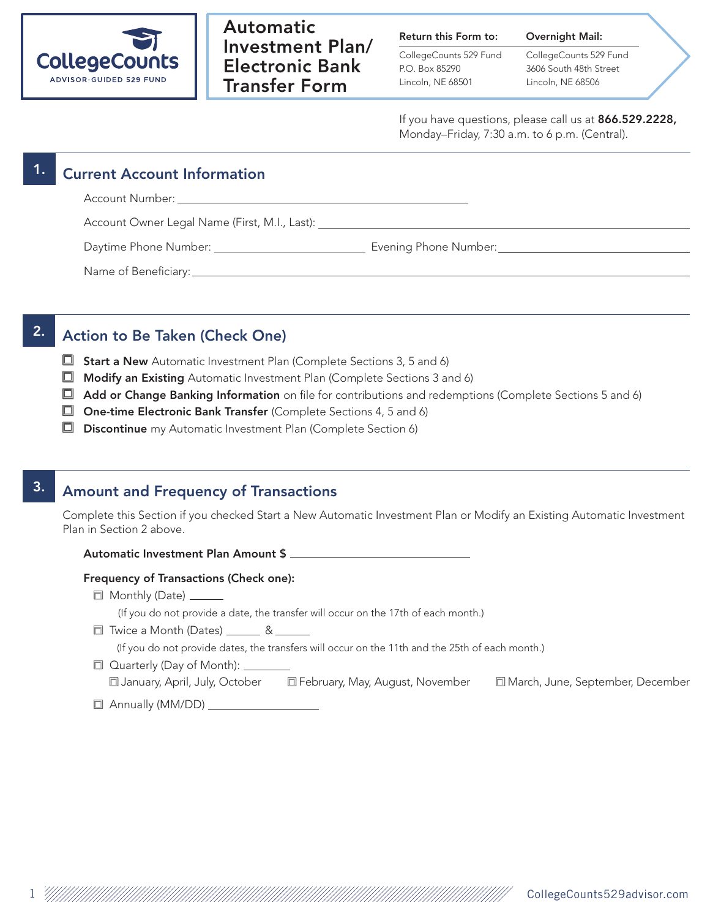

# Automatic Investment Plan/ Electronic Bank Transfer Form

### Return this Form to:

CollegeCounts 529 Fund P.O. Box 85290 Lincoln, NE 68501

CollegeCounts 529 Fund 3606 South 48th Street Lincoln, NE 68506

Overnight Mail:

If you have questions, please call us at 866.529.2228, Monday–Friday, 7:30 a.m. to 6 p.m. (Central).

# **Current Account Information** Account Number: \_ Account Owner Legal Name (First, M.I., Last): Daytime Phone Number: Evening Phone Number: Name of Beneficiary:

# 2. Action to Be Taken (Check One)

- $\Box$  Start a New Automatic Investment Plan (Complete Sections 3, 5 and 6)
- $\Box$  Modify an Existing Automatic Investment Plan (Complete Sections 3 and 6)
- $\Box$  Add or Change Banking Information on file for contributions and redemptions (Complete Sections 5 and 6)
- $\Box$  One-time Electronic Bank Transfer (Complete Sections 4, 5 and 6)
- Discontinue my Automatic Investment Plan (Complete Section 6)

# 3. Amount and Frequency of Transactions

Complete this Section if you checked Start a New Automatic Investment Plan or Modify an Existing Automatic Investment Plan in Section 2 above.

### Automatic Investment Plan Amount \$

### Frequency of Transactions (Check one):

□ Monthly (Date) <u>\_</u>\_\_\_\_\_\_

(If you do not provide a date, the transfer will occur on the 17th of each month.)

□ Twice a Month (Dates) \_\_\_\_\_\_ & \_\_

(If you do not provide dates, the transfers will occur on the 11th and the 25th of each month.)

Quarterly (Day of Month): \_\_\_\_\_\_\_

| I January, April, July, October | □ February, May, August, November | March, June, September, December |
|---------------------------------|-----------------------------------|----------------------------------|
|                                 |                                   |                                  |

Annually (MM/DD)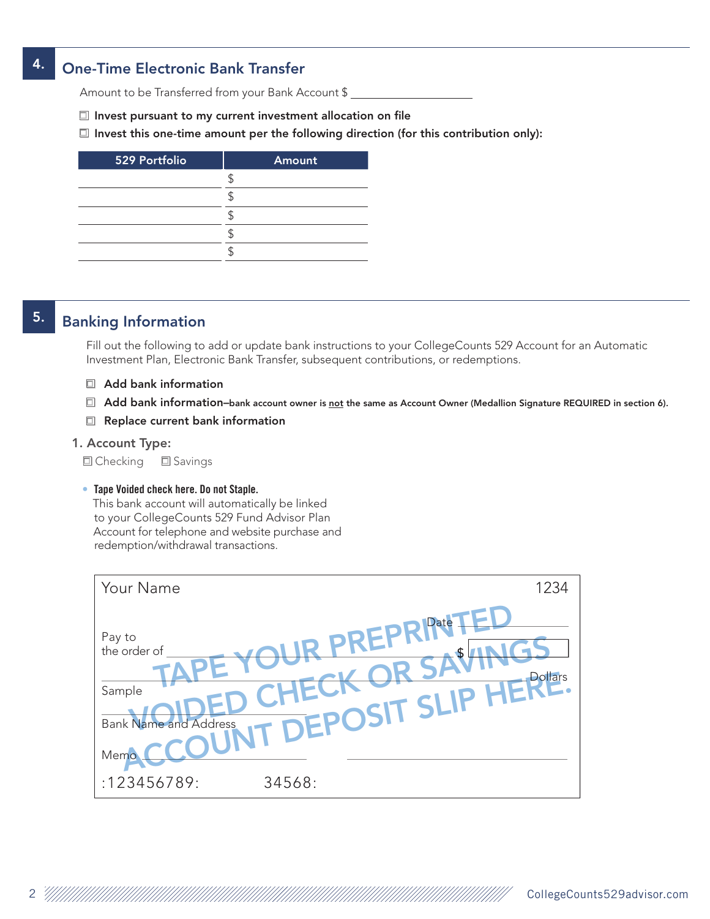### 4. One-Time Electronic Bank Transfer

Amount to be Transferred from your Bank Account \$

 $\Box$  Invest pursuant to my current investment allocation on file

 $\Box$  Invest this one-time amount per the following direction (for this contribution only):

| 529 Portfolio | Amount |
|---------------|--------|
|               |        |
|               |        |
|               |        |
|               |        |
|               |        |

# 5. Banking Information

Fill out the following to add or update bank instructions to your CollegeCounts 529 Account for an Automatic Investment Plan, Electronic Bank Transfer, subsequent contributions, or redemptions.

- Add bank information
- **I** Add bank information–bank account owner is not the same as Account Owner (Medallion Signature REQUIRED in section 6).
- □ Replace current bank information

### 1. Account Type:

**O** Checking **O** Savings

#### • Tape Voided check here. Do not Staple.

This bank account will automatically be linked to your CollegeCounts 529 Fund Advisor Plan Account for telephone and website purchase and redemption/withdrawal transactions.

| Your Name                                                                | 1234                                           |
|--------------------------------------------------------------------------|------------------------------------------------|
| Pay to<br>the order of<br>Sample<br><b>Bank Name and Address</b><br>Memo | PREPRIA<br><b>Dollars</b><br>IT DEPOSIT SLIP h |
| :123456789:                                                              | 34568:                                         |